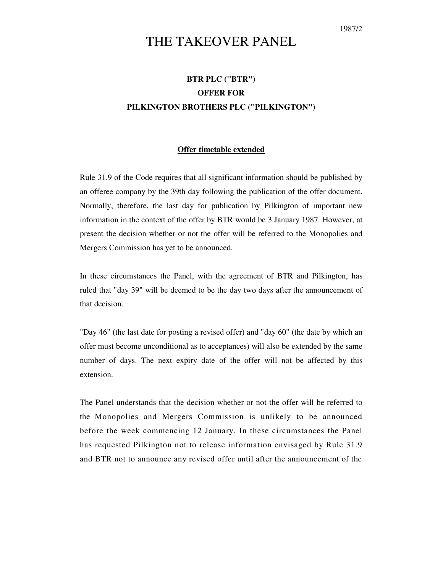## THE TAKEOVER PANEL

## **BTR PLC ("BTR") OFFER FOR PILKINGTON BROTHERS PLC ("PILKINGTON")**

## **Offer timetable extended**

Rule 31.9 of the Code requires that all significant information should be published by an offeree company by the 39th day following the publication of the offer document. Normally, therefore, the last day for publication by Pilkington of important new information in the context of the offer by BTR would be 3 January 1987. However, at present the decision whether or not the offer will be referred to the Monopolies and Mergers Commission has yet to be announced.

In these circumstances the Panel, with the agreement of BTR and Pilkington, has ruled that "day 39" will be deemed to be the day two days after the announcement of that decision.

"Day 46" (the last date for posting a revised offer) and "day 60" (the date by which an offer must become unconditional as to acceptances) will also be extended by the same number of days. The next expiry date of the offer will not be affected by this extension.

The Panel understands that the decision whether or not the offer will be referred to the Monopolies and Mergers Commission is unlikely to be announced before the week commencing 12 January. In these circumstances the Panel has requested Pilkington not to release information envisaged by Rule 31.9 and BTR not to announce any revised offer until after the announcement of the